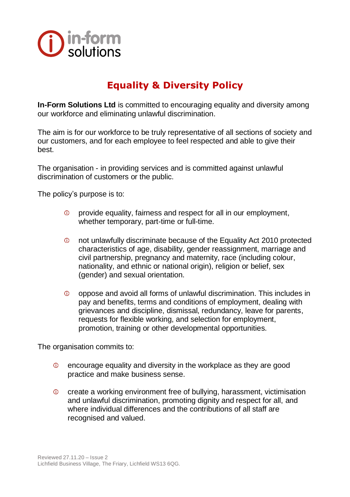

## **Equality & Diversity Policy**

**In-Form Solutions Ltd** is committed to encouraging equality and diversity among our workforce and eliminating unlawful discrimination.

The aim is for our workforce to be truly representative of all sections of society and our customers, and for each employee to feel respected and able to give their best.

The organisation - in providing services and is committed against unlawful discrimination of customers or the public.

The policy's purpose is to:

- provide equality, fairness and respect for all in our employment, whether temporary, part-time or full-time.
- $\odot$ not unlawfully discriminate because of the Equality Act 2010 protected characteristics of age, disability, gender reassignment, marriage and civil partnership, pregnancy and maternity, race (including colour, nationality, and ethnic or national origin), religion or belief, sex (gender) and sexual orientation.
- oppose and avoid all forms of unlawful discrimination. This includes in  $\omega$ pay and benefits, terms and conditions of employment, dealing with grievances and discipline, dismissal, redundancy, leave for parents, requests for flexible working, and selection for employment, promotion, training or other developmental opportunities.

The organisation commits to:

- $\circ$ encourage equality and diversity in the workplace as they are good practice and make business sense.
- $\circ$ create a working environment free of bullying, harassment, victimisation and unlawful discrimination, promoting dignity and respect for all, and where individual differences and the contributions of all staff are recognised and valued.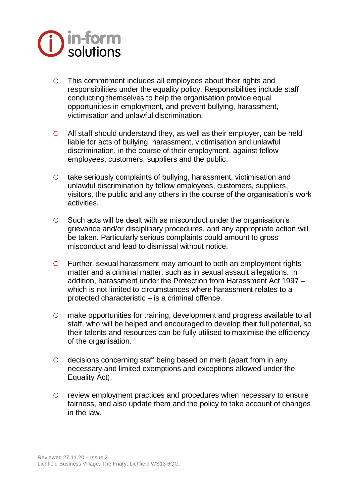

- This commitment includes all employees about their rights and  $\circ$ responsibilities under the equality policy. Responsibilities include staff conducting themselves to help the organisation provide equal opportunities in employment, and prevent bullying, harassment, victimisation and unlawful discrimination.
- $\odot$ All staff should understand they, as well as their employer, can be held liable for acts of bullying, harassment, victimisation and unlawful discrimination, in the course of their employment, against fellow employees, customers, suppliers and the public.
- $\circ$ take seriously complaints of bullying, harassment, victimisation and unlawful discrimination by fellow employees, customers, suppliers, visitors, the public and any others in the course of the organisation's work activities.
- Such acts will be dealt with as misconduct under the organisation's  $\circ$ grievance and/or disciplinary procedures, and any appropriate action will be taken. Particularly serious complaints could amount to gross misconduct and lead to dismissal without notice.
- $\odot$ Further, sexual harassment may amount to both an employment rights matter and a criminal matter, such as in sexual assault allegations. In addition, harassment under the Protection from Harassment Act 1997 – which is not limited to circumstances where harassment relates to a protected characteristic – is a criminal offence.
- $\circ$ make opportunities for training, development and progress available to all staff, who will be helped and encouraged to develop their full potential, so their talents and resources can be fully utilised to maximise the efficiency of the organisation.
- decisions concerning staff being based on merit (apart from in any  $\circ$ necessary and limited exemptions and exceptions allowed under the Equality Act).
- $\circ$ review employment practices and procedures when necessary to ensure fairness, and also update them and the policy to take account of changes in the law.